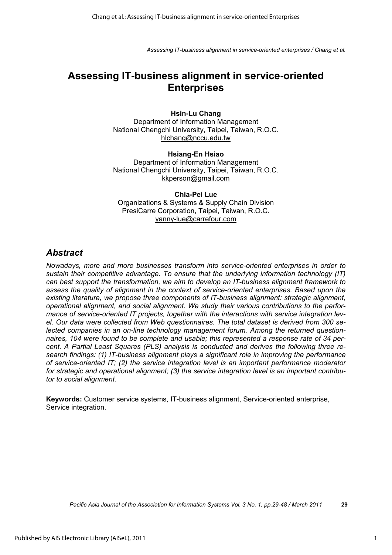# **Assessing IT-business alignment in service-oriented Enterprises**

#### **Hsin-Lu Chang**

Department of Information Management National Chengchi University, Taipei, Taiwan, R.O.C. hlchang@nccu.edu.tw

#### **Hsiang-En Hsiao**  Department of Information Management National Chengchi University, Taipei, Taiwan, R.O.C. kkperson@gmail.com

**Chia-Pei Lue**  Organizations & Systems & Supply Chain Division PresiCarre Corporation, Taipei, Taiwan, R.O.C. yanny-lue@carrefour.com

### *Abstract*

*Nowadays, more and more businesses transform into service-oriented enterprises in order to sustain their competitive advantage. To ensure that the underlying information technology (IT) can best support the transformation, we aim to develop an IT-business alignment framework to assess the quality of alignment in the context of service-oriented enterprises. Based upon the existing literature, we propose three components of IT-business alignment: strategic alignment, operational alignment, and social alignment. We study their various contributions to the performance of service-oriented IT projects, together with the interactions with service integration level. Our data were collected from Web questionnaires. The total dataset is derived from 300 selected companies in an on-line technology management forum. Among the returned questionnaires, 104 were found to be complete and usable; this represented a response rate of 34 percent. A Partial Least Squares (PLS) analysis is conducted and derives the following three research findings: (1) IT-business alignment plays a significant role in improving the performance of service-oriented IT; (2) the service integration level is an important performance moderator for strategic and operational alignment; (3) the service integration level is an important contributor to social alignment.* 

**Keywords:** Customer service systems, IT-business alignment, Service-oriented enterprise, Service integration.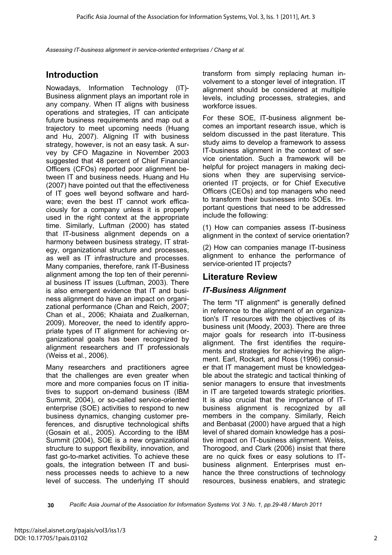## **Introduction**

Nowadays, Information Technology (IT)- Business alignment plays an important role in any company. When IT aligns with business operations and strategies, IT can anticipate future business requirements and map out a trajectory to meet upcoming needs (Huang and Hu, 2007). Aligning IT with business strategy, however, is not an easy task. A survey by CFO Magazine in November 2003 suggested that 48 percent of Chief Financial Officers (CFOs) reported poor alignment between IT and business needs. Huang and Hu (2007) have pointed out that the effectiveness of IT goes well beyond software and hardware; even the best IT cannot work efficaciously for a company unless it is properly used in the right context at the appropriate time. Similarly, Luftman (2000) has stated that IT-business alignment depends on a harmony between business strategy, IT strategy, organizational structure and processes, as well as IT infrastructure and processes. Many companies, therefore, rank IT-Business alignment among the top ten of their perennial business IT issues (Luftman, 2003). There is also emergent evidence that IT and business alignment do have an impact on organizational performance (Chan and Reich, 2007; Chan et al., 2006; Khaiata and Zualkernan, 2009). Moreover, the need to identify appropriate types of IT alignment for achieving organizational goals has been recognized by alignment researchers and IT professionals (Weiss et al., 2006).

Many researchers and practitioners agree that the challenges are even greater when more and more companies focus on IT initiatives to support on-demand business (IBM Summit, 2004), or so-called service-oriented enterprise (SOE) activities to respond to new business dynamics, changing customer preferences, and disruptive technological shifts (Gosain et al., 2005). According to the IBM Summit (2004), SOE is a new organizational structure to support flexibility, innovation, and fast go-to-market activities. To achieve these goals, the integration between IT and business processes needs to achieve to a new level of success. The underlying IT should

transform from simply replacing human involvement to a stonger level of integration. IT alignment should be considered at multiple levels, including processes, strategies, and workforce issues.

For these SOE, IT-business alignment becomes an important research issue, which is seldom discussed in the past literature. This study aims to develop a framework to assess IT-business alignment in the context of service orientation. Such a framework will be helpful for project managers in making decisions when they are supervising serviceoriented IT projects, or for Chief Executive Officers (CEOs) and top managers who need to transform their businesses into SOEs. Important questions that need to be addressed include the following:

(1) How can companies assess IT-business alignment in the context of service orientation?

(2) How can companies manage IT-business alignment to enhance the performance of service-oriented IT projects?

## **Literature Review**

### *IT-Business Alignment*

The term "IT alignment" is generally defined in reference to the alignment of an organization's IT resources with the objectives of its business unit (Moody, 2003). There are three major goals for research into IT-business alignment. The first identifies the requirements and strategies for achieving the alignment. Earl, Rockart, and Ross (1996) consider that IT management must be knowledgeable about the strategic and tactical thinking of senior managers to ensure that investments in IT are targeted towards strategic priorities. It is also crucial that the importance of ITbusiness alignment is recognized by all members in the company. Similarly, Reich and Benbasat (2000) have argued that a high level of shared domain knowledge has a positive impact on IT-business alignment. Weiss, Thorogood, and Clark (2006) insist that there are no quick fixes or easy solutions to ITbusiness alignment. Enterprises must enhance the three constructions of technology resources, business enablers, and strategic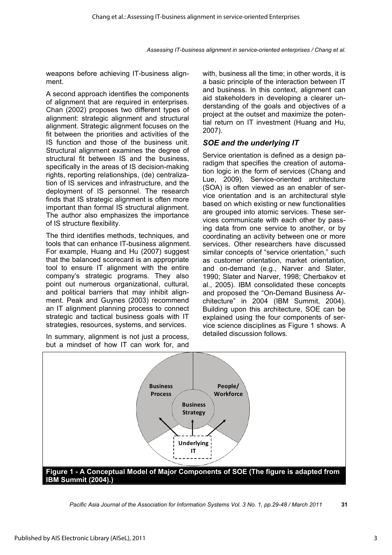weapons before achieving IT-business alignment.

A second approach identifies the components of alignment that are required in enterprises. Chan (2002) proposes two different types of alignment: strategic alignment and structural alignment. Strategic alignment focuses on the fit between the priorities and activities of the IS function and those of the business unit. Structural alignment examines the degree of structural fit between IS and the business, specifically in the areas of IS decision-making rights, reporting relationships, (de) centralization of IS services and infrastructure, and the deployment of IS personnel. The research finds that IS strategic alignment is often more important than formal IS structural alignment. The author also emphasizes the importance of IS structure flexibility.

The third identifies methods, techniques, and tools that can enhance IT-business alignment. For example, Huang and Hu (2007) suggest that the balanced scorecard is an appropriate tool to ensure IT alignment with the entire company's strategic programs. They also point out numerous organizational, cultural, and political barriers that may inhibit alignment. Peak and Guynes (2003) recommend an IT alignment planning process to connect strategic and tactical business goals with IT strategies, resources, systems, and services.

In summary, alignment is not just a process, but a mindset of how IT can work for, and with, business all the time; in other words, it is a basic principle of the interaction between IT and business. In this context, alignment can aid stakeholders in developing a clearer understanding of the goals and objectives of a project at the outset and maximize the potential return on IT investment (Huang and Hu, 2007).

### *SOE and the underlying IT*

Service orientation is defined as a design paradigm that specifies the creation of automation logic in the form of services (Chang and Lue, 2009). Service-oriented architecture (SOA) is often viewed as an enabler of service orientation and is an architectural style based on which existing or new functionalities are grouped into atomic services. These services communicate with each other by passing data from one service to another, or by coordinating an activity between one or more services. Other researchers have discussed similar concepts of "service orientation," such as customer orientation, market orientation, and on-demand (e.g., Narver and Slater, 1990; Slater and Narver, 1998; Cherbakov et al., 2005). IBM consolidated these concepts and proposed the "On-Demand Business Architecture" in 2004 (IBM Summit, 2004). Building upon this architecture, SOE can be explained using the four components of service science disciplines as Figure 1 shows. A detailed discussion follows.



*Pacific Asia Journal of the Association for Information Systems Vol. 3 No. 1, pp.29-48 / March 2011* **31**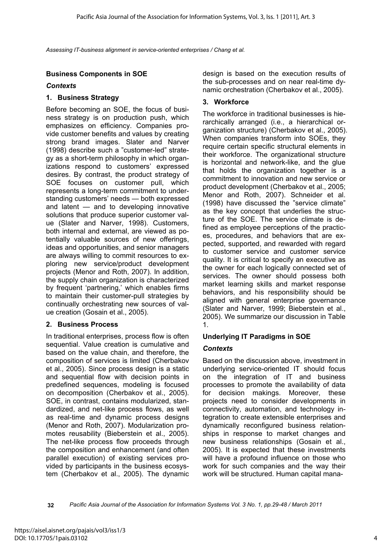### **Business Components in SOE**

#### *Contexts*

#### **1. Business Strategy**

Before becoming an SOE, the focus of business strategy is on production push, which emphasizes on efficiency. Companies provide customer benefits and values by creating strong brand images. Slater and Narver (1998) describe such a "customer-led" strategy as a short-term philosophy in which organizations respond to customers' expressed desires. By contrast, the product strategy of SOE focuses on customer pull, which represents a long-term commitment to understanding customers' needs — both expressed and latent — and to developing innovative solutions that produce superior customer value (Slater and Narver, 1998). Customers, both internal and external, are viewed as potentially valuable sources of new offerings, ideas and opportunities, and senior managers are always willing to commit resources to exploring new service/product development projects (Menor and Roth, 2007). In addition, the supply chain organization is characterized by frequent 'partnering,' which enables firms to maintain their customer-pull strategies by continually orchestrating new sources of value creation (Gosain et al., 2005).

### **2. Business Process**

In traditional enterprises, process flow is often sequential. Value creation is cumulative and based on the value chain, and therefore, the composition of services is limited (Cherbakov et al., 2005). Since process design is a static and sequential flow with decision points in predefined sequences, modeling is focused on decomposition (Cherbakov et al., 2005). SOE, in contrast, contains modularized, standardized, and net-like process flows, as well as real-time and dynamic process designs (Menor and Roth, 2007). Modularization promotes reusability (Bieberstein et al., 2005). The net-like process flow proceeds through the composition and enhancement (and often parallel execution) of existing services provided by participants in the business ecosystem (Cherbakov et al., 2005). The dynamic design is based on the execution results of the sub-processes and on near real-time dynamic orchestration (Cherbakov et al., 2005).

### **3. Workforce**

The workforce in traditional businesses is hierarchically arranged (i.e., a hierarchical organization structure) (Cherbakov et al., 2005). When companies transform into SOEs, they require certain specific structural elements in their workforce. The organizational structure is horizontal and network-like, and the glue that holds the organization together is a commitment to innovation and new service or product development (Cherbakov et al., 2005; Menor and Roth, 2007). Schneider et al. (1998) have discussed the "service climate" as the key concept that underlies the structure of the SOE. The service climate is defined as employee perceptions of the practices, procedures, and behaviors that are expected, supported, and rewarded with regard to customer service and customer service quality. It is critical to specify an executive as the owner for each logically connected set of services. The owner should possess both market learning skills and market response behaviors, and his responsibility should be aligned with general enterprise governance (Slater and Narver, 1999; Bieberstein et al., 2005). We summarize our discussion in Table 1.

### **Underlying IT Paradigms in SOE**

### *Contexts*

Based on the discussion above, investment in underlying service-oriented IT should focus on the integration of IT and business processes to promote the availability of data for decision makings. Moreover, these projects need to consider developments in connectivity, automation, and technology integration to create extensible enterprises and dynamically reconfigured business relationships in response to market changes and new business relationships (Gosain et al., 2005). It is expected that these investments will have a profound influence on those who work for such companies and the way their work will be structured. Human capital mana-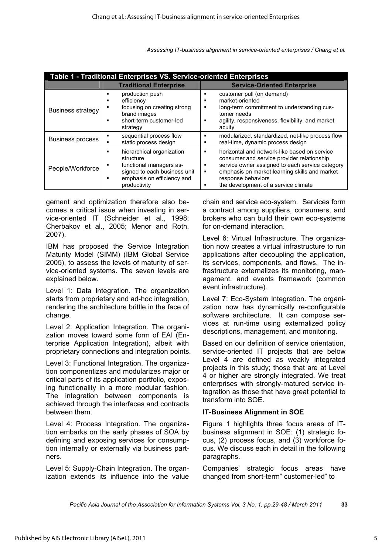| Table 1 - Traditional Enterprises VS. Service-oriented Enterprises |                                                                                                                                                                |                                                                                                                                                                                                                                                                                               |  |
|--------------------------------------------------------------------|----------------------------------------------------------------------------------------------------------------------------------------------------------------|-----------------------------------------------------------------------------------------------------------------------------------------------------------------------------------------------------------------------------------------------------------------------------------------------|--|
|                                                                    | <b>Traditional Enterprise</b>                                                                                                                                  | <b>Service-Oriented Enterprise</b>                                                                                                                                                                                                                                                            |  |
| <b>Business strategy</b>                                           | production push<br>п<br>efficiency<br>п<br>focusing on creating strong<br>٠<br>brand images<br>short-term customer-led<br>п<br>strategy                        | customer pull (on demand)<br>п<br>market-oriented<br>٠<br>long-term commitment to understanding cus-<br>п<br>tomer needs<br>agility, responsiveness, flexibility, and market<br>п<br>acuity                                                                                                   |  |
| Business process                                                   | sequential process flow<br>п<br>static process design                                                                                                          | modularized, standardized, net-like process flow<br>п<br>real-time, dynamic process design<br>п                                                                                                                                                                                               |  |
| People/Workforce                                                   | hierarchical organization<br>п<br>structure<br>functional managers as-<br>٠<br>signed to each business unit<br>emphasis on efficiency and<br>п<br>productivity | horizontal and network-like based on service<br>п<br>consumer and service provider relationship<br>service owner assigned to each service category<br>п<br>emphasis on market learning skills and market<br>$\blacksquare$<br>response behaviors<br>the development of a service climate<br>п |  |

gement and optimization therefore also becomes a critical issue when investing in service-oriented IT (Schneider et al., 1998; Cherbakov et al., 2005; Menor and Roth, 2007).

IBM has proposed the Service Integration Maturity Model (SIMM) (IBM Global Service 2005), to assess the levels of maturity of service-oriented systems. The seven levels are explained below.

Level 1: Data Integration. The organization starts from proprietary and ad-hoc integration, rendering the architecture brittle in the face of change.

Level 2: Application Integration. The organization moves toward some form of EAI (Enterprise Application Integration), albeit with proprietary connections and integration points.

Level 3: Functional Integration. The organization componentizes and modularizes major or critical parts of its application portfolio, exposing functionality in a more modular fashion. The integration between components is achieved through the interfaces and contracts between them.

Level 4: Process Integration. The organization embarks on the early phases of SOA by defining and exposing services for consumption internally or externally via business partners.

Level 5: Supply-Chain Integration. The organization extends its influence into the value chain and service eco-system. Services form a contract among suppliers, consumers, and brokers who can build their own eco-systems for on-demand interaction.

Level 6: Virtual Infrastructure. The organization now creates a virtual infrastructure to run applications after decoupling the application, its services, components, and flows. The infrastructure externalizes its monitoring, management, and events framework (common event infrastructure).

Level 7: Eco-System Integration. The organization now has dynamically re-configurable software architecture. It can compose services at run-time using externalized policy descriptions, management, and monitoring.

Based on our definition of service orientation, service-oriented IT projects that are below Level 4 are defined as weakly integrated projects in this study; those that are at Level 4 or higher are strongly integrated. We treat enterprises with strongly-matured service integration as those that have great potential to transform into SOE.

### **IT-Business Alignment in SOE**

Figure 1 highlights three focus areas of ITbusiness alignment in SOE: (1) strategic focus, (2) process focus, and (3) workforce focus. We discuss each in detail in the following paragraphs.

Companies' strategic focus areas have changed from short-term" customer-led" to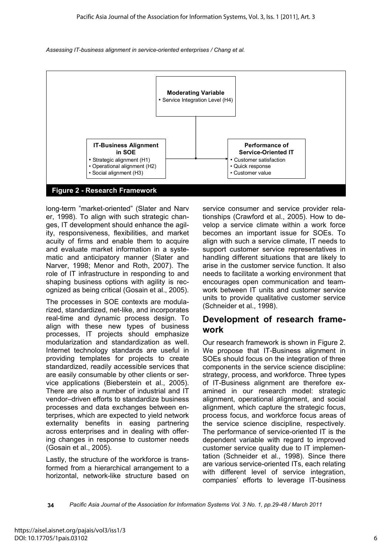



long-term "market-oriented" (Slater and Narv er, 1998). To align with such strategic changes, IT development should enhance the agility, responsiveness, flexibilities, and market acuity of firms and enable them to acquire and evaluate market information in a systematic and anticipatory manner (Slater and Narver, 1998; Menor and Roth, 2007). The role of IT infrastructure in responding to and shaping business options with agility is recognized as being critical (Gosain et al., 2005).

The processes in SOE contexts are modularized, standardized, net-like, and incorporates real-time and dynamic process design. To align with these new types of business processes, IT projects should emphasize modularization and standardization as well. Internet technology standards are useful in providing templates for projects to create standardized, readily accessible services that are easily consumable by other clients or service applications (Bieberstein et al., 2005). There are also a number of industrial and IT vendor–driven efforts to standardize business processes and data exchanges between enterprises, which are expected to yield network externality benefits in easing partnering across enterprises and in dealing with offering changes in response to customer needs (Gosain et al., 2005).

Lastly, the structure of the workforce is transformed from a hierarchical arrangement to a horizontal, network-like structure based on service consumer and service provider relationships (Crawford et al., 2005). How to develop a service climate within a work force becomes an important issue for SOEs. To align with such a service climate, IT needs to support customer service representatives in handling different situations that are likely to arise in the customer service function. It also needs to facilitate a working environment that encourages open communication and teamwork between IT units and customer service units to provide qualitative customer service (Schneider et al., 1998).

### **Development of research framework**

Our research framework is shown in Figure 2. We propose that IT-Business alignment in SOEs should focus on the integration of three components in the service science discipline: strategy, process, and workforce. Three types of IT-Business alignment are therefore examined in our research model: strategic alignment, operational alignment, and social alignment, which capture the strategic focus, process focus, and workforce focus areas of the service science discipline, respectively. The performance of service-oriented IT is the dependent variable with regard to improved customer service quality due to IT implementation (Schneider et al., 1998). Since there are various service-oriented ITs, each relating with different level of service integration, companies' efforts to leverage IT-business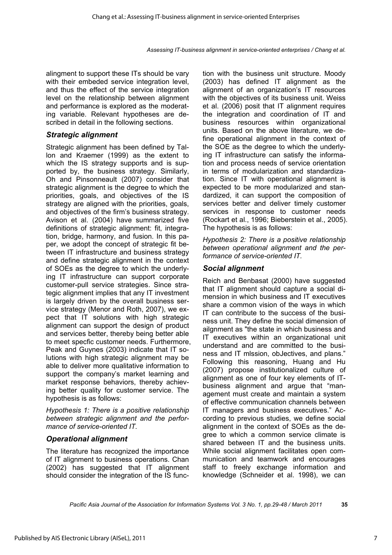alingment to support these ITs should be vary with their embeded service integration level, and thus the effect of the service integration level on the relationship between alignment and performance is explored as the moderating variable. Relevant hypotheses are described in detail in the following sections.

### *Strategic alignment*

Strategic alignment has been defined by Tallon and Kraemer (1999) as the extent to which the IS strategy supports and is supported by, the business strategy. Similarly, Oh and Pinsonneault (2007) consider that strategic alignment is the degree to which the priorities, goals, and objectives of the IS strategy are aligned with the priorities, goals, and objectives of the firm's business strategy. Avison et al. (2004) have summarized five definitions of strategic alignment: fit, integration, bridge, harmony, and fusion. In this paper, we adopt the concept of strategic fit between IT infrastructure and business strategy and define strategic alignment in the context of SOEs as the degree to which the underlying IT infrastructure can support corporate customer-pull service strategies. Since strategic alignment implies that any IT investment is largely driven by the overall business service strategy (Menor and Roth, 2007), we expect that IT solutions with high strategic alignment can support the design of product and services better, thereby being better able to meet specfic customer needs. Furthermore, Peak and Guynes (2003) indicate that IT solutions with high strategic alignment may be able to deliver more qualitative information to support the company's market learning and market response behaviors, thereby achieving better quality for customer service. The hypothesis is as follows:

*Hypothesis 1: There is a positive relationship between strategic alignment and the performance of service-oriented IT.* 

### *Operational alignment*

The literature has recognized the importance of IT alignment to business operations. Chan (2002) has suggested that IT alignment should consider the integration of the IS function with the business unit structure. Moody (2003) has defined IT alignment as the alignment of an organization's IT resources with the objectives of its business unit. Weiss et al. (2006) posit that IT alignment requires the integration and coordination of IT and business resources within organizational units. Based on the above literature, we define operational alignment in the context of the SOE as the degree to which the underlying IT infrastructure can satisfy the information and process needs of service orientation in terms of modularization and standardization. Since IT with operational alignment is expected to be more modularized and standardized, it can support the composition of services better and deliver timely customer services in response to customer needs (Rockart et al., 1996; Bieberstein et al., 2005). The hypothesis is as follows:

*Hypothesis 2: There is a positive relationship between operational alignment and the performance of service-oriented IT.* 

### *Social alignment*

Reich and Benbasat (2000) have suggested that IT alignment should capture a social dimension in which business and IT executives share a common vision of the ways in which IT can contribute to the success of the business unit. They define the social dimension of ailgnment as "the state in which business and IT executives within an organizational unit understand and are committed to the business and IT mlssion, obJectives, and plans." Following this reasoning, Huang and Hu (2007) propose institutionalized culture of alignment as one of four key elements of ITbusiness alignment and argue that "management must create and maintain a system of effective communication channels between IT managers and business executives." According to previous studies, we define social alignment in the context of SOEs as the degree to which a common service climate is shared between IT and the business units. While social alignment facilitates open communication and teamwork and encourages staff to freely exchange information and knowledge (Schneider et al. 1998), we can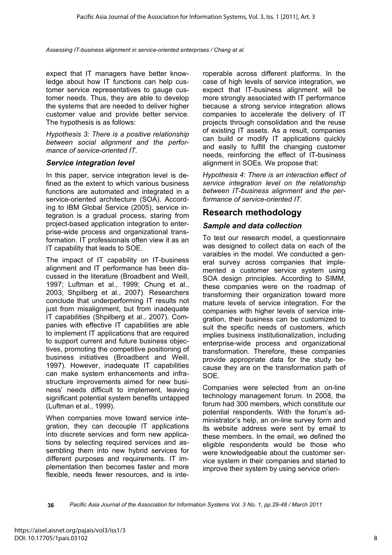expect that IT managers have better knowledge about how IT functions can help customer service representatives to gauge customer needs. Thus, they are able to develop the systems that are needed to deliver higher customer value and provide better service. The hypothesis is as follows:

*Hypothesis 3: There is a positive relationship between social alignment and the performance of service-oriented IT.* 

#### *Service integration level*

In this paper, service integration level is defined as the extent to which various business functions are automated and integrated in a service-oriented architecture (SOA). According to IBM Global Service (2005), service integration is a gradual process, staring from project-based application integration to enterprise-wide process and organizational transformation. IT professionals often view it as an IT capability that leads to SOE.

The impact of IT capability on IT-business alignment and IT performance has been discussed in the literature (Broadbent and Weill, 1997; Luftman et al., 1999; Chung et al., 2003; Shpilberg et al., 2007). Researchers conclude that underperforming IT results not just from misalignment, but from inadequate IT capabilities (Shpilberg et al., 2007). Companies with effective IT capabilities are able to implement IT applications that are required to support current and future business objectives, promoting the competitive positioning of business initiatives (Broadbent and Weill, 1997). However, inadequate IT capabilities can make system enhancements and infrastructure improvements aimed for new business' needs difficult to implement, leaving significant potential system benefits untapped (Luftman et al., 1999).

When companies move toward service integration, they can decouple IT applications into discrete services and form new applications by selecting required services and assembling them into new hybrid services for different purposes and requirements. IT implementation then becomes faster and more flexible, needs fewer resources, and is interoperable across different platforms. In the case of high levels of service integration, we expect that IT-business alignment will be more strongly associated with IT performance because a strong service integration allows companies to accelerate the delivery of IT projects through consolidation and the reuse of existing IT assets. As a result, companies can build or modify IT applications quickly and easily to fulfill the changing customer needs, reinforcing the effect of IT-business alignment in SOEs. We propose that:

*Hypothesis 4: There is an interaction effect of service integration level on the relationship between IT-business alignment and the performance of service-oriented IT.* 

### **Research methodology**

### *Sample and data collection*

To test our research model, a questionnaire was designed to collect data on each of the varaibles in the model. We conducted a general survey across companies that implemented a customer service system using SOA design principles. According to SIMM, these companies were on the roadmap of transforming their organization toward more mature levels of service integration. For the companies with higher levels of service integration, their business can be customized to suit the specific needs of customers, which implies business institutionalization, including enterprise-wide process and organizational transformation. Therefore, these companies provide appropriate data for the study because they are on the transformation path of SOE.

Companies were selected from an on-line technology management forum. In 2008, the forum had 300 members, which constitute our potential respondents. With the forum's administrator's help, an on-line survey form and its website address were sent by email to these members. In the email, we defined the eligible respondents would be those who were knowledgeable about the customer service system in their companies and started to improve their system by using service orien-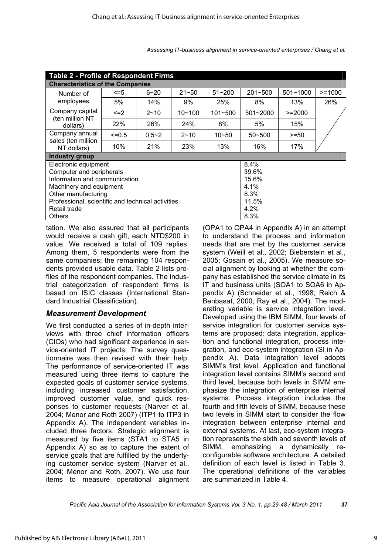| <b>Table 2 - Profile of Respondent Firms</b>      |            |           |            |             |              |              |           |
|---------------------------------------------------|------------|-----------|------------|-------------|--------------|--------------|-----------|
| <b>Characteristics of the Companies</b>           |            |           |            |             |              |              |           |
| Number of                                         | <=5        | $6 - 20$  | $21 - 50$  | $51 - 200$  | 201~500      | $501 - 1000$ | $>= 1000$ |
| employees                                         | 5%         | 14%       | 9%         | 25%         | 8%           | 13%          | 26%       |
| Company capital<br>(ten million NT                | $\leq$ = 2 | $2 - 10$  | $10 - 100$ | $101 - 500$ | $501 - 2000$ | $>=2000$     |           |
| dollars)                                          | <b>22%</b> | 26%       | 24%        | 8%          | 5%           | 15%          |           |
| Company annual                                    | $\leq$ 0.5 | $0.5 - 2$ | $2 - 10$   | $10 - 50$   | $50 - 500$   | $>= 50$      |           |
| sales (ten million<br>NT dollars)                 | 10%        | 21%       | 23%        | 13%         | 16%          | 17%          |           |
| <b>Industry group</b>                             |            |           |            |             |              |              |           |
| 8.4%<br>Electronic equipment                      |            |           |            |             |              |              |           |
| Computer and peripherals<br>39.6%                 |            |           |            |             |              |              |           |
| Information and communication<br>15.6%            |            |           |            |             |              |              |           |
| Machinery and equipment                           |            |           |            |             | 4.1%         |              |           |
| Other manufacturing                               |            |           |            |             | 8.3%         |              |           |
| Professional, scientific and technical activities |            |           |            | 11.5%       |              |              |           |
| Retail trade                                      |            |           |            | 4.2%        |              |              |           |
| 8.3%<br>Others                                    |            |           |            |             |              |              |           |

tation. We also assured that all participants would receive a cash gift, each NTD\$200 in value. We received a total of 109 replies. Among them, 5 respondents were from the same companies; the remaining 104 respondents provided usable data. Table 2 lists profiles of the respondent companies. The industrial categorization of respondent firms is based on ISIC classes (International Standard Industrial Classification).

### *Measurement Development*

We first conducted a series of in-depth interviews with three chief information officers (CIOs) who had significant experience in service-oriented IT projects. The survey questionnaire was then revised with their help. The performance of service-oriented IT was measured using three items to capture the expected goals of customer service systems, including increased customer satisfaction, improved customer value, and quick responses to customer requests (Narver et al. 2004; Menor and Roth 2007) (ITP1 to ITP3 in Appendix A). The independent variables included three factors. Strategic alignment is measured by five items (STA1 to STA5 in Appendix A) so as to capture the extent of service goals that are fulfilled by the underlying customer service system (Narver et al., 2004; Menor and Roth, 2007). We use four items to measure operational alignment (OPA1 to OPA4 in Appendix A) in an attempt to understand the process and information needs that are met by the customer service system (Weill et al., 2002; Bieberstein et al., 2005; Gosain et al., 2005). We measure social alignment by looking at whether the company has established the service climate in its IT and business units (SOA1 to SOA6 in Appendix A) (Schneider et al., 1998; Reich & Benbasat, 2000; Ray et al., 2004). The moderating variable is service integration level. Developed using the IBM SIMM, four levels of service integration for customer service systems are proposed: data integration, application and functional integration, process integration, and eco-system integration (SI in Appendix A). Data integration level adopts SIMM's first level. Application and functional integration level contains SIMM's second and third level, because both levels in SIMM emphasize the integration of enterprise internal systems. Process integration includes the fourth and fifth levels of SIMM, because these two levels in SIMM start to consider the flow integration between enterprise internal and external systems. At last, eco-system integration represents the sixth and seventh levels of SIMM, emphasizing a dynamically reconfigurable software architecture. A detailed definition of each level is listed in Table 3. The operational definitions of the variables are summarized in Table 4.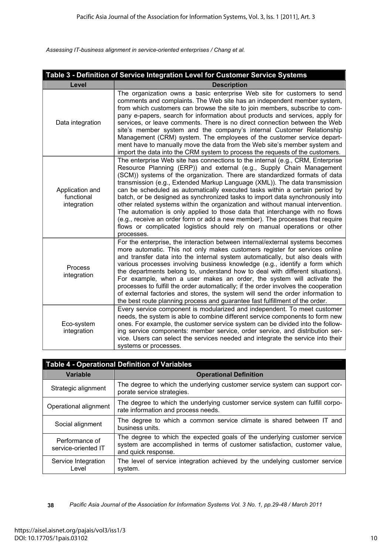|                                              | Table 3 - Definition of Service Integration Level for Customer Service Systems                                                                                                                                                                                                                                                                                                                                                                                                                                                                                                                                                                                                                                                                                                                                                 |
|----------------------------------------------|--------------------------------------------------------------------------------------------------------------------------------------------------------------------------------------------------------------------------------------------------------------------------------------------------------------------------------------------------------------------------------------------------------------------------------------------------------------------------------------------------------------------------------------------------------------------------------------------------------------------------------------------------------------------------------------------------------------------------------------------------------------------------------------------------------------------------------|
| Level                                        | <b>Description</b>                                                                                                                                                                                                                                                                                                                                                                                                                                                                                                                                                                                                                                                                                                                                                                                                             |
| Data integration                             | The organization owns a basic enterprise Web site for customers to send<br>comments and complaints. The Web site has an independent member system,<br>from which customers can browse the site to join members, subscribe to com-<br>pany e-papers, search for information about products and services, apply for<br>services, or leave comments. There is no direct connection between the Web<br>site's member system and the company's internal Customer Relationship<br>Management (CRM) system. The employees of the customer service depart-<br>ment have to manually move the data from the Web site's member system and<br>import the data into the CRM system to process the requests of the customers.                                                                                                               |
| Application and<br>functional<br>integration | The enterprise Web site has connections to the internal (e.g., CRM, Enterprise<br>Resource Planning (ERP)) and external (e.g., Supply Chain Management<br>(SCM)) systems of the organization. There are standardized formats of data<br>transmission (e.g., Extended Markup Language (XML)). The data transmission<br>can be scheduled as automatically executed tasks within a certain period by<br>batch, or be designed as synchronized tasks to import data synchronously into<br>other related systems within the organization and without manual intervention.<br>The automation is only applied to those data that interchange with no flows<br>(e.g., receive an order form or add a new member). The processes that require<br>flows or complicated logistics should rely on manual operations or other<br>processes. |
| Process<br>integration                       | For the enterprise, the interaction between internal/external systems becomes<br>more automatic. This not only makes customers register for services online<br>and transfer data into the internal system automatically, but also deals with<br>various processes involving business knowledge (e.g., identify a form which<br>the departments belong to, understand how to deal with different situations).<br>For example, when a user makes an order, the system will activate the<br>processes to fulfill the order automatically; if the order involves the cooperation<br>of external factories and stores, the system will send the order information to<br>the best route planning process and guarantee fast fulfillment of the order.                                                                                |
| Eco-system<br>integration                    | Every service component is modularized and independent. To meet customer<br>needs, the system is able to combine different service components to form new<br>ones. For example, the customer service system can be divided into the follow-<br>ing service components: member service, order service, and distribution ser-<br>vice. Users can select the services needed and integrate the service into their<br>systems or processes.                                                                                                                                                                                                                                                                                                                                                                                        |

| <b>Table 4 - Operational Definition of Variables</b> |                                                                                                                                                                                |  |
|------------------------------------------------------|--------------------------------------------------------------------------------------------------------------------------------------------------------------------------------|--|
| <b>Variable</b>                                      | <b>Operational Definition</b>                                                                                                                                                  |  |
| Strategic alignment                                  | The degree to which the underlying customer service system can support cor-<br>porate service strategies.                                                                      |  |
| Operational alignment                                | The degree to which the underlying customer service system can fulfill corpo-<br>rate information and process needs.                                                           |  |
| Social alignment                                     | The degree to which a common service climate is shared between IT and<br>business units.                                                                                       |  |
| Performance of<br>service-oriented IT                | The degree to which the expected goals of the underlying customer service<br>system are accomplished in terms of customer satisfaction, customer value,<br>and quick response. |  |
| Service Integration<br>Level                         | The level of service integration achieved by the undelying customer service<br>system.                                                                                         |  |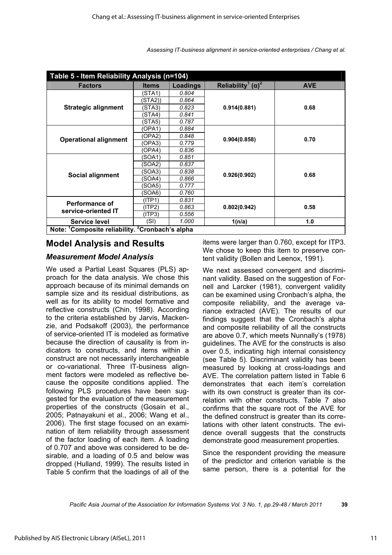| Table 5 - Item Reliability Analysis (n=104)                             |              |                 |                                                    |            |
|-------------------------------------------------------------------------|--------------|-----------------|----------------------------------------------------|------------|
| <b>Factors</b>                                                          | <b>Items</b> | <b>Loadings</b> | Reliability <sup>1</sup> ( $\alpha$ ) <sup>2</sup> | <b>AVE</b> |
|                                                                         | (STA1)       | 0.804           |                                                    |            |
|                                                                         | (STA2))      | 0.864           | 0.914(0.881)                                       | 0.68       |
| <b>Strategic alignment</b>                                              | STA3)        | 0.823           |                                                    |            |
|                                                                         | (STA4)       | 0.841           |                                                    |            |
|                                                                         | (STA5)       | 0.787           |                                                    |            |
|                                                                         | (OPA1)       | 0.884           |                                                    |            |
| <b>Operational alignment</b>                                            | (OPA2)       | 0.848           |                                                    | 0.70       |
|                                                                         | (OPA3)       | 0.779           | 0.904(0.858)                                       |            |
|                                                                         | (OPA4)       | 0.836           |                                                    |            |
|                                                                         | (SOA1)       | 0.851           | 0.926(0.902)                                       | 0.68       |
|                                                                         | (SOA2)       | 0.837           |                                                    |            |
| Social alignment                                                        | (SOA3)       | 0.838           |                                                    |            |
|                                                                         | (SOA4)       | 0.866           |                                                    |            |
|                                                                         | (SOA5)       | 0.777           |                                                    |            |
|                                                                         | (SOA6)       | 0.760           |                                                    |            |
| <b>Performance of</b>                                                   | (ITP1)       | 0.831           | 0.802(0.942)                                       | 0.58       |
|                                                                         | (ITP2)       | 0.863           |                                                    |            |
| service-oriented IT                                                     | (ITP3)       | 0.556           |                                                    |            |
| Service level                                                           | (SI)         | 1.000           | 1(n/a)                                             | 1.0        |
| Note: <sup>1</sup> Composite reliability. <sup>2</sup> Cronbach's alpha |              |                 |                                                    |            |

### **Model Analysis and Results**

### *Measurement Model Analysis*

We used a Partial Least Squares (PLS) approach for the data analysis. We chose this approach because of its minimal demands on sample size and its residual distributions, as well as for its ability to model formative and reflective constructs (Chin, 1998). According to the criteria established by Jarvis, Mackenzie, and Podsakoff (2003), the performance of service-oriented IT is modeled as formative because the direction of causality is from indicators to constructs, and items within a construct are not necessarily interchangeable or co-variational. Three IT-business alignment factors were modeled as reflective because the opposite conditions applied. The following PLS procedures have been suggested for the evaluation of the measurement properties of the constructs (Gosain et al., 2005; Patnayakuni et al., 2006; Wang et al., 2006). The first stage focused on an examination of item reliability through assessment of the factor loading of each item. A loading of 0.707 and above was considered to be desirable, and a loading of 0.5 and below was dropped (Hulland, 1999). The results listed in Table 5 confirm that the loadings of all of the

items were larger than 0.760, except for ITP3. We chose to keep this item to preserve content validity (Bollen and Leenox, 1991).

We next assessed convergent and discriminant validity. Based on the suggestion of Fornell and Larcker (1981), convergent validity can be examined using Cronbach's alpha, the composite reliability, and the average variance extracted (AVE). The results of our findings suggest that the Cronbach's alpha and composite reliability of all the constructs are above 0.7, which meets Nunnally's (1978) guidelines. The AVE for the constructs is also over 0.5, indicating high internal consistency (see Table 5). Discriminant validity has been measured by looking at cross-loadings and AVE. The correlation pattern listed in Table 6 demonstrates that each item's correlation with its own construct is greater than its correlation with other constructs. Table 7 also confirms that the square root of the AVE for the defined construct is greater than its correlations with other latent constructs. The evidence overall suggests that the constructs demonstrate good measurement properties.

Since the respondent providing the measure of the predictor and criterion variable is the same person, there is a potential for the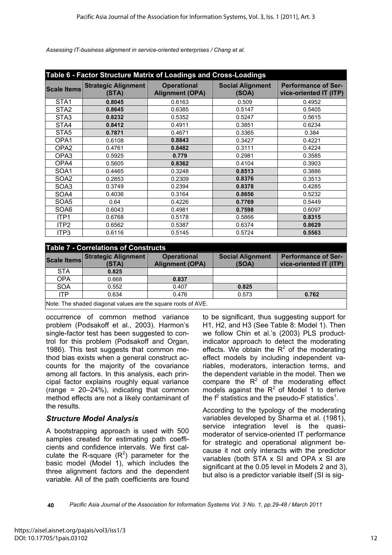| Table 6 - Factor Structure Matrix of Loadings and Cross-Loadings |                                     |                                              |                                  |                                                      |
|------------------------------------------------------------------|-------------------------------------|----------------------------------------------|----------------------------------|------------------------------------------------------|
| <b>Scale Items</b>                                               | <b>Strategic Alignment</b><br>(STA) | <b>Operational</b><br><b>Alignment (OPA)</b> | <b>Social Alignment</b><br>(SOA) | <b>Performance of Ser-</b><br>vice-oriented IT (ITP) |
| STA <sub>1</sub>                                                 | 0.8045                              | 0.6163                                       | 0.509                            | 0.4952                                               |
| STA <sub>2</sub>                                                 | 0.8645                              | 0.6385                                       | 0.5147                           | 0.5405                                               |
| STA3                                                             | 0.8232                              | 0.5352                                       | 0.5247                           | 0.5615                                               |
| STA4                                                             | 0.8412                              | 0.4911                                       | 0.3851                           | 0.6234                                               |
| STA <sub>5</sub>                                                 | 0.7871                              | 0.4671                                       | 0.3365                           | 0.384                                                |
| OPA <sub>1</sub>                                                 | 0.6108                              | 0.8843                                       | 0.3427                           | 0.4221                                               |
| OPA <sub>2</sub>                                                 | 0.4761                              | 0.8482                                       | 0.3111                           | 0.4224                                               |
| OPA3                                                             | 0.5925                              | 0.779                                        | 0.2981                           | 0.3585                                               |
| OPA4                                                             | 0.5605                              | 0.8362                                       | 0.4104                           | 0.3903                                               |
| SOA1                                                             | 0.4465                              | 0.3248                                       | 0.8513                           | 0.3886                                               |
| SOA2                                                             | 0.2853                              | 0.2309                                       | 0.8376                           | 0.3513                                               |
| SOA3                                                             | 0.3749                              | 0.2394                                       | 0.8378                           | 0.4285                                               |
| SOA4                                                             | 0.4036                              | 0.3164                                       | 0.8656                           | 0.5232                                               |
| SOA5                                                             | 0.64                                | 0.4226                                       | 0.7769                           | 0.5449                                               |
| SOA6                                                             | 0.6043                              | 0.4981                                       | 0.7598                           | 0.6097                                               |
| ITP1                                                             | 0.6768                              | 0.5178                                       | 0.5866                           | 0.8315                                               |
| ITP <sub>2</sub>                                                 | 0.6562                              | 0.5387                                       | 0.6374                           | 0.8629                                               |
| ITP3                                                             | 0.6116                              | 0.5145                                       | 0.5724                           | 0.5563                                               |

#### **Table 7 - Correlations of Constructs**

|                                                               | <b>TUDIO I</b> VOITURIUITU VI VUITURUU |                                              |                                  |                                                      |
|---------------------------------------------------------------|----------------------------------------|----------------------------------------------|----------------------------------|------------------------------------------------------|
| Scale Items                                                   | <b>Strategic Alignment</b><br>(STA)    | <b>Operational</b><br><b>Alignment (OPA)</b> | <b>Social Alignment</b><br>(SOA) | <b>Performance of Ser-</b><br>vice-oriented IT (ITP) |
| <b>STA</b>                                                    | 0.825                                  |                                              |                                  |                                                      |
| <b>OPA</b>                                                    | 0.668                                  | 0.837                                        |                                  |                                                      |
| <b>SOA</b>                                                    | 0.552                                  | 0.407                                        | 0.825                            |                                                      |
| <b>ITP</b>                                                    | 0.634                                  | 0.476                                        | 0.573                            | 0.762                                                |
| Note: The shaded diagonal values are the square roots of AVE. |                                        |                                              |                                  |                                                      |

occurrence of common method variance problem (Podsakoff et al., 2003). Harmon's single-factor test has been suggested to control for this problem (Podsakoff and Organ,

1986). This test suggests that common method bias exists when a general construct accounts for the majority of the covariance among all factors. In this analysis, each principal factor explains roughly equal variance (range =  $20-24\%$ ), indicating that common method effects are not a likely contaminant of the results.

### *Structure Model Analysis*

A bootstrapping approach is used with 500 samples created for estimating path coefficients and confidence intervals. We first calculate the R-square  $(R^2)$  parameter for the basic model (Model 1), which includes the three alignment factors and the dependent variable. All of the path coefficients are found

to be significant, thus suggesting support for H1, H2, and H3 (See Table 8: Model 1). Then we follow Chin et al.'s (2003) PLS productindicator approach to detect the moderating effects. We obtain the  $R^2$  of the moderating effect models by including independent variables, moderators, interaction terms, and the dependent variable in the model. Then we compare the  $R^2$  of the moderating effect models against the  $R^2$  of Model 1 to derive the  $f^2$  statistics and the pseudo-F statistics<sup>1</sup>.

According to the typology of the moderating variables developed by Sharma et al. (1981), service integration level is the quasimoderator of service-oriented IT performance for strategic and operational alignment because it not only interacts with the predictor variables (both STA x SI and OPA x SI are significant at the 0.05 level in Models 2 and 3), but also is a predictor variable itself (SI is sig-

**<sup>40</sup>** *Pacific Asia Journal of the Association for Information Systems Vol. 3 No. 1, pp.29-48 / March 2011*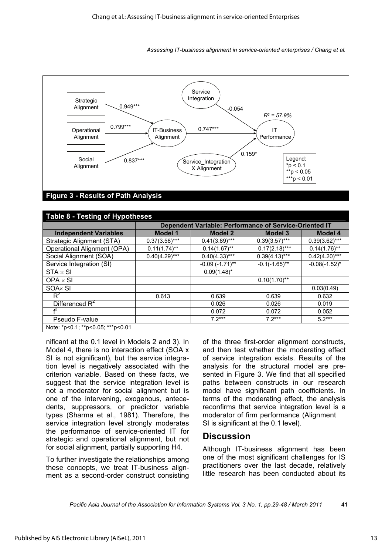

#### **Table 8 - Testing of Hypotheses Dependent Variable: Performance of Service-Oriented IT Independent Variables Model 1 Model 2 Model 3 Model 4**<br> **Independent Variables Model 1** Model 1 Model 2 Model 3 Model 4<br> **Independent (STA)** 0.37(3.58)\*\*\* 0.41(3.89)\*\*\* 0.39(3.57)\*\*\* 0.39(3.62)\*\*\* Strategic Alignment (STA) 0.37(3.58)\*\*\* 0.41(3.89)\*\*\* 0.39(3.57)\*\*\* 0.39(3.62)\*\*\* Operational Alignment (OPA) 0.11(1.74)\*\* 0.14(1.67)\*\* 0.17(2.18)\*\*\* 0.14(1.76)\*\*<br>Social Alignment (SOA) 0.40(4.29)\*\*\* 0.40(4.33)\*\*\* 0.39(4.13)\*\*\* 0.42(4.20)\*\*\* Social Alignment (SOA) 0.40(4.29)\*\*\* 0.40(4.33)\*\*\* 0.39(4.13)\*\*\* 0.42(4.20)\*\*\* Service Integration (SI) -0.09 (-1.71)\*\* -0.1(-1.65)\*\* -0.08(-1.52)\*  $STA \times SI$  0.09(1.48)\*  $OPA \times SI$  0.10(1.70)\*\*  $SOAx \sim SI$  1.03(0.49)  $R^2$  0.613 0.639 0.639 0.632 Differenced  $R^2$  $0.026$  0.026 0.026 0.019 f 2 0.072 0.072 0.052 Pseudo F-value **7.2\*\*\*** 7.2\*\*\* 7.2\*\*\* 5.2\*\*\* Note: \*p<0.1; \*\*p<0.05; \*\*\*p<0.01

nificant at the 0.1 level in Models 2 and 3). In Model 4, there is no interaction effect (SOA x SI is not significant), but the service integration level is negatively associated with the criterion variable. Based on these facts, we suggest that the service integration level is not a moderator for social alignment but is one of the intervening, exogenous, antecedents, suppressors, or predictor variable types (Sharma et al., 1981). Therefore, the service integration level strongly moderates the performance of service-oriented IT for strategic and operational alignment, but not for social alignment, partially supporting H4.

To further investigate the relationships among these concepts, we treat IT-business alignment as a second-order construct consisting

of the three first-order alignment constructs, and then test whether the moderating effect of service integration exists. Results of the analysis for the structural model are presented in Figure 3. We find that all specified paths between constructs in our research model have significant path coefficients. In terms of the moderating effect, the analysis reconfirms that service integration level is a moderator of firm performance (Alignment SI is significant at the 0.1 level).

### **Discussion**

Although IT-business alignment has been one of the most significant challenges for IS practitioners over the last decade, relatively little research has been conducted about its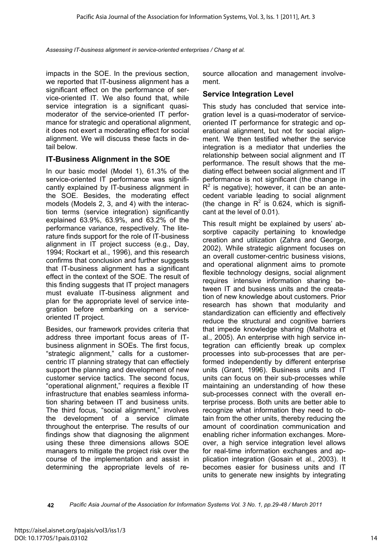impacts in the SOE. In the previous section, we reported that IT-business alignment has a significant effect on the performance of service-oriented IT. We also found that, while service integration is a significant quasimoderator of the service-oriented IT performance for strategic and operational alignment, it does not exert a moderating effect for social alignment. We will discuss these facts in detail below.

### **IT-Business Alignment in the SOE**

In our basic model (Model 1), 61.3% of the service-oriented IT performance was significantly explained by IT-business alignment in the SOE. Besides, the moderating effect models (Models 2, 3, and 4) with the interaction terms (service integration) significantly explained 63.9%, 63.9%, and 63.2% of the performance variance, respectively. The literature finds support for the role of IT-business alignment in IT project success (e.g., Day, 1994; Rockart et al., 1996), and this research confirms that conclusion and further suggests that IT-business alignment has a significant effect in the context of the SOE. The result of this finding suggests that IT project managers must evaluate IT-business alignment and plan for the appropriate level of service integration before embarking on a serviceoriented IT project.

Besides, our framework provides criteria that address three important focus areas of ITbusiness alignment in SOEs. The first focus, "strategic alignment," calls for a customercentric IT planning strategy that can effectiely support the planning and development of new customer service tactics. The second focus, "operational alignment," requires a flexible IT infrastructure that enables seamless information sharing between IT and business units. The third focus, "social alignment," involves the development of a service climate throughout the enterprise. The results of our findings show that diagnosing the alignment using these three dimensions allows SOE managers to mitigate the project risk over the course of the implementation and assist in determining the appropriate levels of resource allocation and management involvement.

#### **Service Integration Level**

This study has concluded that service integration level is a quasi-moderator of serviceoriented IT performance for strategic and operational alignment, but not for social alignment. We then testified whether the service integration is a mediator that underlies the relationship between social alignment and IT performance. The result shows that the mediating effect between social alignment and IT performance is not significant (the change in  $R<sup>2</sup>$  is negative); however, it can be an antecedent variable leading to social alignment (the change in  $R^2$  is 0.624, which is significant at the level of 0.01).

This result might be explained by users' absorptive capacity pertaining to knowledge creation and utilization (Zahra and George, 2002). While strategic alignment focuses on an overall customer-centric business visions, and operational alignment aims to promote flexible technology designs, social alignment requires intensive information sharing between IT and business units and the creatation of new knowledge about customers. Prior research has shown that modularity and standardization can efficiently and effectively reduce the structural and cognitive barriers that impede knowledge sharing (Malhotra et al., 2005). An enterprise with high service integration can efficiently break up complex processes into sub-processes that are performed independently by different enterprise units (Grant, 1996). Business units and IT units can focus on their sub-processes while maintaining an understanding of how these sub-processes connect with the overall enterprise process. Both units are better able to recognize what information they need to obtain from the other units, thereby reducing the amount of coordination communication and enabling richer information exchanges. Moreover, a high service integration level allows for real-time information exchanges and application integration (Gosain et al., 2003). It becomes easier for business units and IT units to generate new insights by integrating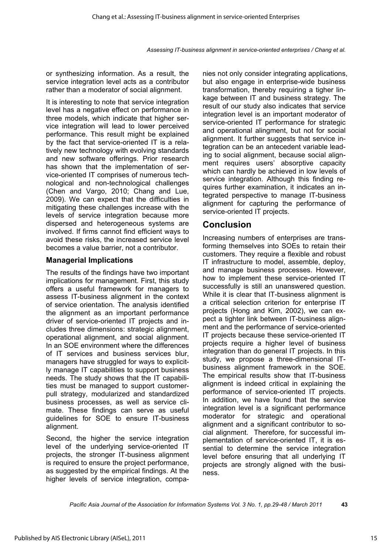or synthesizing information. As a result, the service integration level acts as a contributor rather than a moderator of social alignment.

It is interesting to note that service integration level has a negative effect on performance in three models, which indicate that higher service integration will lead to lower perceived performance. This result might be explained by the fact that service-oriented IT is a relatively new technology with evolving standards and new software offerings. Prior research has shown that the implementation of service-oriented IT comprises of numerous technological and non-technological challenges (Chen and Vargo, 2010; Chang and Lue, 2009). We can expect that the difficulties in mitigating these challenges increase with the levels of service integration because more dispersed and heterogeneous systems are involved. If firms cannot find efficient ways to avoid these risks, the increased service level becomes a value barrier, not a contributor.

### **Managerial Implications**

The results of the findings have two important implications for management. First, this study offers a useful framework for managers to assess IT-business alignment in the context of service orientation. The analysis identified the alignment as an important performance driver of service-oriented IT projects and includes three dimensions: strategic alignment, operational alignment, and social alignment. In an SOE environment where the differences of IT services and business services blur, managers have struggled for ways to explicitly manage IT capabilities to support business needs. The study shows that the IT capabilities must be managed to support customerpull strategy, modularized and standardized business processes, as well as service climate. These findings can serve as useful guidelines for SOE to ensure IT-business alignment.

Second, the higher the service integration level of the underlying service-oriented IT projects, the stronger IT-business alignment is required to ensure the project performance, as suggested by the empirical findings. At the higher levels of service integration, companies not only consider integrating applications, but also engage in enterprise-wide business transformation, thereby requiring a tigher linkage between IT and business strategy. The result of our study also indicates that service integration level is an important moderator of service-oriented IT performance for strategic and operational alingment, but not for social alignment. It further suggests that service integration can be an antecedent variable leading to social alignment, because social alignment requires users' absorptive capacity which can hardly be achieved in low levels of service integration. Although this finding requires further examination, it indicates an integrated perspective to manage IT-business alignment for capturing the performance of service-oriented IT projects.

### **Conclusion**

Increasing numbers of enterprises are transforming themselves into SOEs to retain their customers. They require a flexible and robust IT infrastructure to model, assemble, deploy, and manage business processes. However, how to implement these service-oriented IT successfully is still an unanswered question. While it is clear that IT-business alignment is a critical selection criterion for enterprise IT projects (Hong and Kim, 2002), we can expect a tighter link between IT-business alignment and the performance of service-oriented IT projects because these service-oriented IT projects require a higher level of business integration than do general IT projects. In this study, we propose a three-dimensional ITbusiness alignment framework in the SOE. The empirical results show that IT-business alignment is indeed critical in explaining the performance of service-oriented IT projects. In addition, we have found that the service integration level is a significant performance moderator for strategic and operational alignment and a significant contributor to social alignment. Therefore, for successful implementation of service-oriented IT, it is essential to determine the service integration level before ensuring that all underlying IT projects are strongly aligned with the business.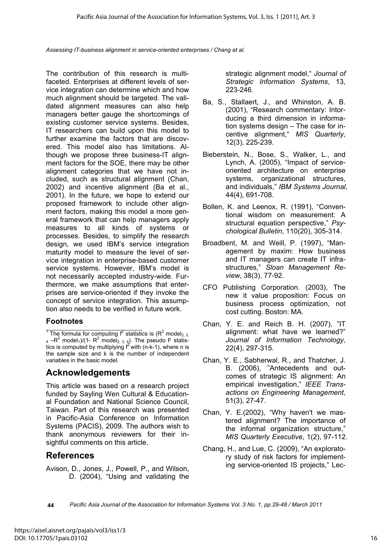The contribution of this research is multifaceted. Enterprises at different levels of service integration can determine which and how much alignment should be targeted. The validated alignment measures can also help managers better gauge the shortcomings of existing customer service systems. Besides, IT researchers can build upon this model to further examine the factors that are discovered. This model also has limitations. Although we propose three business-IT alignment factors for the SOE, there may be other alignment categories that we have not included, such as structural alignment (Chan, 2002) and incentive alignment (Ba et al., 2001). In the future, we hope to extend our proposed framework to include other alignment factors, making this model a more general framework that can help managers apply measures to all kinds of systems or processes. Besides, to simplify the research design, we used IBM's service integration maturity model to measure the level of service integration in enterprise-based customer service systems. However, IBM's model is not necessarily accepted industry-wide. Furthermore, we make assumptions that enterprises are service-oriented if they invoke the concept of service integration. This assumption also needs to be verified in future work.

### **Footnotes**

<sup>1</sup> The formula for computing  $f^2$  statistics is ( $R^2$  model<sub>2, 3,</sub> 4 -R<sup>2</sup> model<sub>1</sub>)/(1- R<sup>2</sup> model<sub>2, 3, 4</sub>). The pseudo F statistics is computed by multiplying  $f^2$  with (n-k-1), where n is the sample size and k is the number of independent variables in the basic model.

### **Acknowledgements**

This article was based on a research project funded by Sayling Wen Cultural & Educational Foundation and National Science Council, Taiwan. Part of this research was presented in Pacific-Asia Conference on Information Systems (PACIS), 2009. The authors wish to thank anonymous reviewers for their insightful comments on this article.

### **References**

Avison, D., Jones, J., Powell, P., and Wilson, D. (2004), "Using and validating the strategic alignment model," *Journal of Strategic Information Systems*, 13, 223-246.

- Ba, S., Stallaert, J., and Whinston, A. B. (2001), "Research commentary: Intorducing a third dimension in information systems design – The case for incentive alignment," *MIS Quarterly*, 12(3), 225-239.
- Bieberstein, N., Bose, S., Walker, L., and Lynch, A. (2005), "Impact of serviceoriented architecture on enterprise systems, organizational structures, and individuals," *IBM Systems Journal*, 44(4), 691-708.
- Bollen, K. and Leenox, R. (1991), "Conventional wisdom on measurement: A structural equation perspective," *Psychological Bulletin*, 110(20), 305-314.
- Broadbent, M. and Weill, P. (1997), "Management by maxim: How business and IT managers can create IT infrastructures," *Sloan Management Review*, 38(3), 77-92.
- CFO Publishing Corporation. (2003), The new it value proposition: Focus on business process optimization, not cost cutting. Boston: MA.
- Chan, Y. E. and Reich B. H. (2007), "IT alignment: what have we learned?" *Journal of Information Technology*, 22(4), 297-315.
- Chan, Y. E., Sabherwal, R., and Thatcher, J. B. (2006), "Antecedents and outcomes of strategic IS alignment: An empirical investigation," *IEEE Transactions on Engineering Management*, 51(3), 27-47.
- Chan, Y. E.(2002), "Why haven't we mastered alignment? The importance of the informal organization structure," *MIS Quarterly Executive*, 1(2), 97-112.
- Chang, H., and Lue, C. (2009), "An exploratory study of risk factors for implementing service-oriented IS projects," Lec-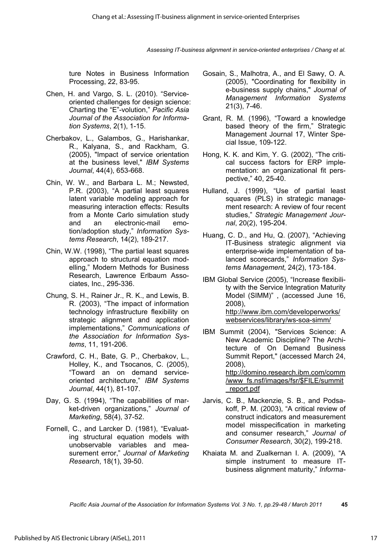ture Notes in Business Information Processing, 22, 83-95.

- Chen, H. and Vargo, S. L. (2010). "Serviceoriented challenges for design science: Charting the "E"-volution," *Pacific Asia Journal of the Association for Information Systems*, 2(1), 1-15.
- Cherbakov, L., Galambos, G., Harishankar, R., Kalyana, S., and Rackham, G. (2005), "Impact of service orientation at the business level," *IBM Systems Journal*, 44(4), 653-668.
- Chin, W. W., and Barbara L. M.; Newsted, P.R. (2003), "A partial least squares latent variable modeling approach for measuring interaction effects: Results from a Monte Carlo simulation study and an electronic-mail emotion/adoption study," *Information Systems Research*, 14(2), 189-217.
- Chin, W.W. (1998), "The partial least squares approach to structural equation modelling," Modern Methods for Business Research, Lawrence Erlbaum Associates, Inc., 295-336.
- Chung, S. H., Rainer Jr., R. K., and Lewis, B. R. (2003), "The impact of information technology infrastructure flexibility on strategic alignment and application implementations," *Communications of the Association for Information Systems*, 11, 191-206.
- Crawford, C. H., Bate, G. P., Cherbakov, L., Holley, K., and Tsocanos, C. (2005), "Toward an on demand serviceoriented architecture," *IBM Systems Journal*, 44(1), 81-107.
- Day, G. S. (1994), "The capabilities of market-driven organizations," *Journal of Marketing*, 58(4), 37-52.
- Fornell, C., and Larcker D. (1981), "Evaluating structural equation models with unobservable variables and measurement error," *Journal of Marketing Research*, 18(1), 39-50.
- Gosain, S., Malhotra, A., and El Sawy, O. A. (2005), "Coordinating for flexibility in e-business supply chains," *Journal of Management Information Systems* 21(3), 7-46.
- Grant, R. M. (1996), "Toward a knowledge based theory of the firm," Strategic Management Journal 17, Winter Special Issue, 109-122.
- Hong, K. K. and Kim, Y. G. (2002), "The critical success factors for ERP implementation: an organizational fit perspective," 40, 25-40.
- Hulland, J. (1999), "Use of partial least squares (PLS) in strategic management research: A review of four recent studies," *Strategic Management Journal*, 20(2), 195-204.
- Huang, C. D., and Hu, Q. (2007), "Achieving IT-Business strategic alignment via enterprise-wide implementation of balanced scorecards," *Information Systems Management*, 24(2), 173-184.
- IBM Global Service (2005), "Increase flexibility with the Service Integration Maturity Model (SIMM)" , (accessed June 16, 2008), http://www.ibm.com/developerworks/ webservices/library/ws-soa-simm/
- IBM Summit (2004), "Services Science: A New Academic Discipline? The Architecture of On Demand Business Summit Report," (accessed March 24, 2008), http://domino.research.ibm.com/comm /www\_fs.nsf/images/fsr/\$FILE/summit \_report.pdf
- Jarvis, C. B., Mackenzie, S. B., and Podsakoff, P. M. (2003), "A critical review of construct indicators and measurement model misspecification in marketing and consumer research," *Journal of Consumer Research*, 30(2), 199-218.
- Khaiata M. and Zualkernan I. A. (2009), "A simple instrument to measure ITbusiness alignment maturity," *Informa-*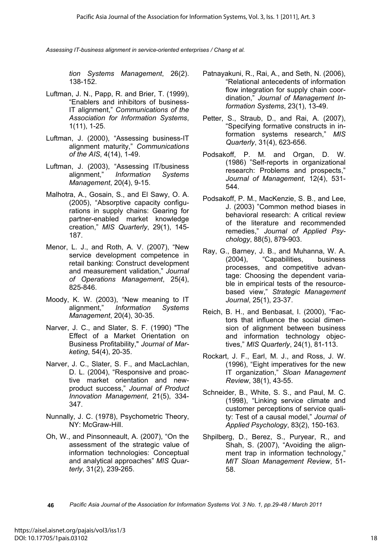*tion Systems Management*, 26(2). 138-152.

- Luftman, J. N., Papp, R. and Brier, T. (1999), "Enablers and inhibitors of business-IT alignment," *Communications of the Association for Information Systems*, 1(11), 1-25.
- Luftman, J. (2000), "Assessing business-IT alignment maturity," *Communications of the AIS*, 4(14), 1-49.
- Luftman, J. (2003), "Assessing IT/business alignment," *Information Systems Management*, 20(4), 9-15.
- Malhotra, A., Gosain, S., and El Sawy, O. A. (2005), "Absorptive capacity configurations in supply chains: Gearing for partner-enabled market knowledge creation," *MIS Quarterly*, 29(1), 145- 187.
- Menor, L. J., and Roth, A. V. (2007), "New service development competence in retail banking: Construct development and measurement validation," *Journal of Operations Management*, 25(4), 825-846.
- Moody, K. W. (2003), "New meaning to IT alignment," *Information Systems Management*, 20(4), 30-35.
- Narver, J. C., and Slater, S. F. (1990) "The Effect of a Market Orientation on Business Profitability," *Journal of Marketing*, 54(4), 20-35.
- Narver, J. C., Slater, S. F., and MacLachlan, D. L. (2004), "Responsive and proactive market orientation and newproduct success," *Journal of Product Innovation Management*, 21(5), 334- 347.
- Nunnally, J. C. (1978), Psychometric Theory, NY: McGraw-Hill.
- Oh, W., and Pinsonneault, A. (2007), "On the assessment of the strategic value of information technologies: Conceptual and analytical approaches" *MIS Quarterly*, 31(2), 239-265.
- Patnayakuni, R., Rai, A., and Seth, N. (2006), "Relational antecedents of information flow integration for supply chain coordination," *Journal of Management Information Systems*, 23(1), 13-49.
- Petter, S., Straub, D., and Rai, A. (2007), "Specifying formative constructs in information systems research," *MIS Quarterly*, 31(4), 623-656.
- Podsakoff, P. M. and Organ, D. W. (1986) "Self-reports in organizational research: Problems and prospects," *Journal of Management*, 12(4), 531- 544.
- Podsakoff, P. M., MacKenzie, S. B., and Lee, J. (2003) "Common method biases in behavioral research: A critical review of the literature and recommended remedies," *Journal of Applied Psychology*, 88(5), 879-903.
- Ray, G., Barney, J. B., and Muhanna, W. A. (2004), "Capabilities, business processes, and competitive advantage: Choosing the dependent variable in empirical tests of the resourcebased view," *Strategic Management Journal*, 25(1), 23-37.
- Reich, B. H., and Benbasat, I. (2000), "Factors that influence the social dimension of alignment between business and information technology objectives," *MIS Quarterly*, 24(1), 81-113.
- Rockart, J. F., Earl, M. J., and Ross, J. W. (1996), "Eight imperatives for the new IT organization," *Sloan Management Review*, 38(1), 43-55.
- Schneider, B., White, S. S., and Paul, M. C. (1998), "Linking service climate and customer perceptions of service quality: Test of a causal model," *Journal of Applied Psychology*, 83(2), 150-163.
- Shpilberg, D., Berez, S., Puryear, R., and Shah, S. (2007), "Avoiding the alignment trap in information technology," *MIT Sloan Management Review*, 51- 58.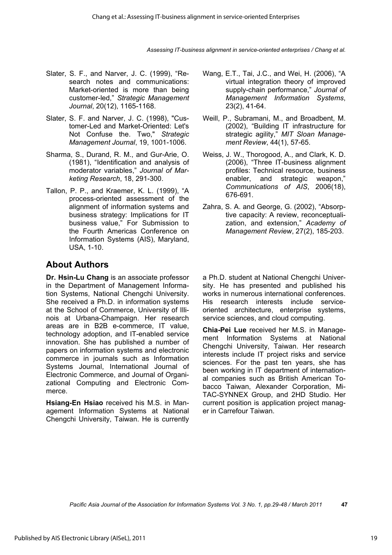- Slater, S. F., and Narver, J. C. (1999), "Research notes and communications: Market-oriented is more than being customer-led," *Strategic Management Journal*, 20(12), 1165-1168.
- Slater, S. F. and Narver, J. C. (1998), "Customer-Led and Market-Oriented: Let's Not Confuse the. Two," *Strategic Management Journal*, 19, 1001-1006.
- Sharma, S., Durand, R. M., and Gur-Arie, O. (1981), "Identification and analysis of moderator variables," *Journal of Marketing Research*, 18, 291-300.
- Tallon, P. P., and Kraemer, K. L. (1999), "A process-oriented assessment of the alignment of information systems and business strategy: Implications for IT business value," For Submission to the Fourth Americas Conference on Information Systems (AIS), Maryland, USA, 1-10.

## **About Authors**

**Dr. Hsin-Lu Chang** is an associate professor in the Department of Management Information Systems, National Chengchi University. She received a Ph.D. in information systems at the School of Commerce, University of Illinois at Urbana-Champaign. Her research areas are in B2B e-commerce, IT value, technology adoption, and IT-enabled service innovation. She has published a number of papers on information systems and electronic commerce in journals such as Information Systems Journal, International Journal of Electronic Commerce, and Journal of Organizational Computing and Electronic Commerce.

**Hsiang-En Hsiao** received his M.S. in Management Information Systems at National Chengchi University, Taiwan. He is currently

- Wang, E.T., Tai, J.C., and Wei, H. (2006), "A virtual integration theory of improved supply-chain performance," *Journal of Management Information Systems*, 23(2), 41-64.
- Weill, P., Subramani, M., and Broadbent, M. (2002), "Building IT infrastructure for strategic agility," *MIT Sloan Management Review*, 44(1), 57-65.
- Weiss, J. W., Thorogood, A., and Clark, K. D. (2006), "Three IT-business alignment profiles: Technical resource, business enabler, and strategic weapon," *Communications of AIS*, 2006(18), 676-691.
- Zahra, S. A. and George, G. (2002), "Absorptive capacity: A review, reconceptualization, and extension," *Academy of Management Review*, 27(2), 185-203.

a Ph.D. student at National Chengchi University. He has presented and published his works in numerous international conferences. His research interests include serviceoriented architecture, enterprise systems, service sciences, and cloud computing.

**Chia-Pei Lue** received her M.S. in Management Information Systems at National Chengchi University, Taiwan. Her research interests include IT project risks and service sciences. For the past ten years, she has been working in IT department of international companies such as British American Tobacco Taiwan, Alexander Corporation, Mi-TAC-SYNNEX Group, and 2HD Studio. Her current position is application project manager in Carrefour Taiwan.